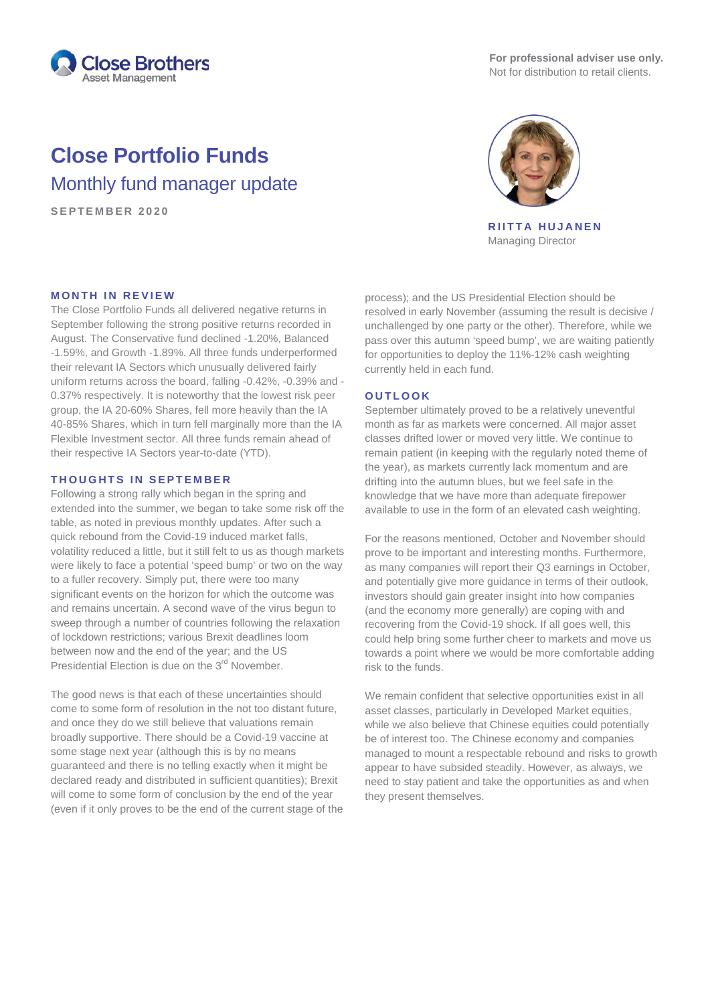

**For professional adviser use only.** Not for distribution to retail clients.

# **Close Portfolio Funds**

Monthly fund manager update

**SEPTEMBER 2020**



**RIITTA HUJANEN** Managing Director

# **MONTH IN REVIEW**

The Close Portfolio Funds all delivered negative returns in September following the strong positive returns recorded in August. The Conservative fund declined -1.20%, Balanced -1.59%, and Growth -1.89%. All three funds underperformed their relevant IA Sectors which unusually delivered fairly uniform returns across the board, falling -0.42%, -0.39% and - 0.37% respectively. It is noteworthy that the lowest risk peer group, the IA 20-60% Shares, fell more heavily than the IA 40-85% Shares, which in turn fell marginally more than the IA Flexible Investment sector. All three funds remain ahead of their respective IA Sectors year-to-date (YTD).

#### **THOUGHTS IN SEPTEMBER**

Following a strong rally which began in the spring and extended into the summer, we began to take some risk off the table, as noted in previous monthly updates. After such a quick rebound from the Covid-19 induced market falls, volatility reduced a little, but it still felt to us as though markets were likely to face a potential 'speed bump' or two on the way to a fuller recovery. Simply put, there were too many significant events on the horizon for which the outcome was and remains uncertain. A second wave of the virus begun to sweep through a number of countries following the relaxation of lockdown restrictions; various Brexit deadlines loom between now and the end of the year; and the US Presidential Election is due on the 3<sup>rd</sup> November.

The good news is that each of these uncertainties should come to some form of resolution in the not too distant future, and once they do we still believe that valuations remain broadly supportive. There should be a Covid-19 vaccine at some stage next year (although this is by no means guaranteed and there is no telling exactly when it might be declared ready and distributed in sufficient quantities); Brexit will come to some form of conclusion by the end of the year (even if it only proves to be the end of the current stage of the process); and the US Presidential Election should be resolved in early November (assuming the result is decisive / unchallenged by one party or the other). Therefore, while we pass over this autumn 'speed bump', we are waiting patiently for opportunities to deploy the 11%-12% cash weighting currently held in each fund.

### **OUTLOOK**

September ultimately proved to be a relatively uneventful month as far as markets were concerned. All major asset classes drifted lower or moved very little. We continue to remain patient (in keeping with the regularly noted theme of the year), as markets currently lack momentum and are drifting into the autumn blues, but we feel safe in the knowledge that we have more than adequate firepower available to use in the form of an elevated cash weighting.

For the reasons mentioned, October and November should prove to be important and interesting months. Furthermore, as many companies will report their Q3 earnings in October, and potentially give more guidance in terms of their outlook, investors should gain greater insight into how companies (and the economy more generally) are coping with and recovering from the Covid-19 shock. If all goes well, this could help bring some further cheer to markets and move us towards a point where we would be more comfortable adding risk to the funds.

We remain confident that selective opportunities exist in all asset classes, particularly in Developed Market equities, while we also believe that Chinese equities could potentially be of interest too. The Chinese economy and companies managed to mount a respectable rebound and risks to growth appear to have subsided steadily. However, as always, we need to stay patient and take the opportunities as and when they present themselves.